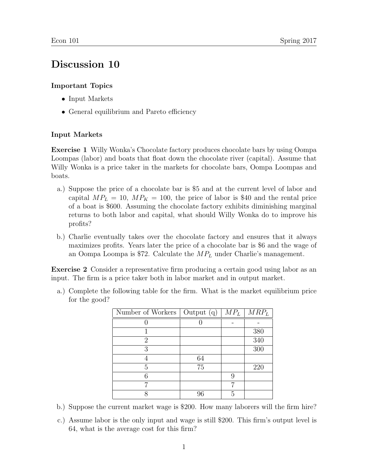## Discussion 10

## Important Topics

- Input Markets
- General equilibrium and Pareto efficiency

## Input Markets

Exercise 1 Willy Wonka's Chocolate factory produces chocolate bars by using Oompa Loompas (labor) and boats that float down the chocolate river (capital). Assume that Willy Wonka is a price taker in the markets for chocolate bars, Oompa Loompas and boats.

- a.) Suppose the price of a chocolate bar is \$5 and at the current level of labor and capital  $MP_L = 10$ ,  $MP_K = 100$ , the price of labor is \$40 and the rental price of a boat is \$600. Assuming the chocolate factory exhibits diminishing marginal returns to both labor and capital, what should Willy Wonka do to improve his profits?
- b.) Charlie eventually takes over the chocolate factory and ensures that it always maximizes profits. Years later the price of a chocolate bar is \$6 and the wage of an Oompa Loompa is \$72. Calculate the  $MP_L$  under Charlie's management.

Exercise 2 Consider a representative firm producing a certain good using labor as an input. The firm is a price taker both in labor market and in output market.

a.) Complete the following table for the firm. What is the market equilibrium price for the good?

| Number of Workers $\vert$ Output $(q)$ |    | $MP_L$ | $MRP_L$ |
|----------------------------------------|----|--------|---------|
|                                        |    |        |         |
|                                        |    |        | 380     |
| 2                                      |    |        | 340     |
| 3                                      |    |        | 300     |
|                                        | 64 |        |         |
| 5                                      | 75 |        | 220     |
| հ                                      |    | 9      |         |
| ⇁                                      |    |        |         |
|                                        | 96 | 5      |         |

- b.) Suppose the current market wage is \$200. How many laborers will the firm hire?
- c.) Assume labor is the only input and wage is still \$200. This firm's output level is 64, what is the average cost for this firm?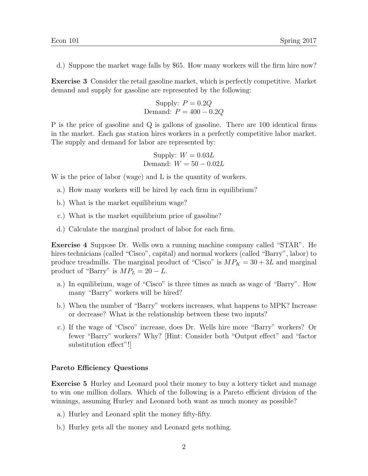d.) Suppose the market wage falls by \$65. How many workers will the firm hire now?

Exercise 3 Consider the retail gasoline market, which is perfectly competitive. Market demand and supply for gasoline are represented by the following:

> Supply:  $P = 0.2Q$ Demand:  $P = 400 - 0.2Q$

P is the price of gasoline and Q is gallons of gasoline. There are 100 identical firms in the market. Each gas station hires workers in a perfectly competitive labor market. The supply and demand for labor are represented by:

Supply: 
$$
W = 0.03L
$$

\nDemand:  $W = 50 - 0.02L$ 

W is the price of labor (wage) and L is the quantity of workers.

- a.) How many workers will be hired by each firm in equilibrium?
- b.) What is the market equilibrium wage?
- c.) What is the market equilibrium price of gasoline?
- d.) Calculate the marginal product of labor for each firm.

Exercise 4 Suppose Dr. Wells own a running machine company called "STAR". He hires technicians (called "Cisco", capital) and normal workers (called "Barry", labor) to produce treadmills. The marginal product of "Cisco" is  $MP_K = 30 + 3L$  and marginal product of "Barry" is  $MP_L = 20 - L$ .

- a.) In equilibrium, wage of "Cisco" is three times as much as wage of "Barry". How many "Barry" workers will be hired?
- b.) When the number of "Barry" workers increases, what happens to MPK? Increase or decrease? What is the relationship between these two inputs?
- c.) If the wage of "Cisco" increase, does Dr. Wells hire more "Barry" workers? Or fewer "Barry" workers? Why? [Hint: Consider both "Output effect" and "factor substitution effect"!]

## Pareto Efficiency Questions

Exercise 5 Hurley and Leonard pool their money to buy a lottery ticket and manage to win one million dollars. Which of the following is a Pareto efficient division of the winnings, assuming Hurley and Leonard both want as much money as possible?

- a.) Hurley and Leonard split the money fifty-fifty.
- b.) Hurley gets all the money and Leonard gets nothing.